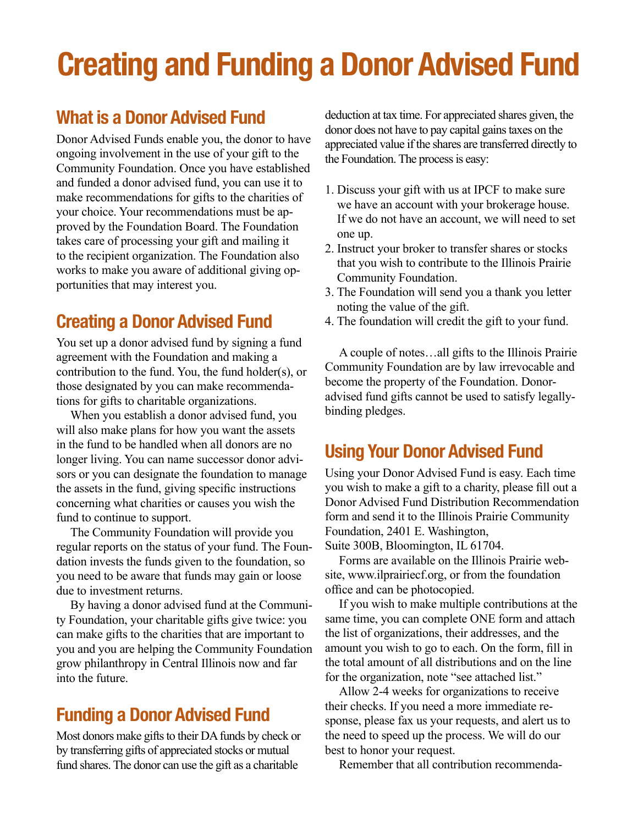# **Creating and Funding a Donor Advised Fund**

## **What is a Donor Advised Fund**

Donor Advised Funds enable you, the donor to have ongoing involvement in the use of your gift to the Community Foundation. Once you have established and funded a donor advised fund, you can use it to make recommendations for gifts to the charities of your choice. Your recommendations must be approved by the Foundation Board. The Foundation takes care of processing your gift and mailing it to the recipient organization. The Foundation also works to make you aware of additional giving opportunities that may interest you.

## **Creating a Donor Advised Fund**

You set up a donor advised fund by signing a fund agreement with the Foundation and making a contribution to the fund. You, the fund holder(s), or those designated by you can make recommendations for gifts to charitable organizations.

When you establish a donor advised fund, you will also make plans for how you want the assets in the fund to be handled when all donors are no longer living. You can name successor donor advisors or you can designate the foundation to manage the assets in the fund, giving specific instructions concerning what charities or causes you wish the fund to continue to support.

The Community Foundation will provide you regular reports on the status of your fund. The Foundation invests the funds given to the foundation, so you need to be aware that funds may gain or loose due to investment returns.

By having a donor advised fund at the Community Foundation, your charitable gifts give twice: you can make gifts to the charities that are important to you and you are helping the Community Foundation grow philanthropy in Central Illinois now and far into the future.

## **Funding a Donor Advised Fund**

Most donors make gifts to their DA funds by check or by transferring gifts of appreciated stocks or mutual fund shares. The donor can use the gift as a charitable

deduction at tax time. For appreciated shares given, the donor does not have to pay capital gains taxes on the appreciated value if the shares are transferred directly to the Foundation. The process is easy:

- 1. Discuss your gift with us at IPCF to make sure we have an account with your brokerage house. If we do not have an account, we will need to set one up.
- 2. Instruct your broker to transfer shares or stocks that you wish to contribute to the Illinois Prairie Community Foundation.
- 3. The Foundation will send you a thank you letter noting the value of the gift.
- 4. The foundation will credit the gift to your fund.

A couple of notes…all gifts to the Illinois Prairie Community Foundation are by law irrevocable and become the property of the Foundation. Donoradvised fund gifts cannot be used to satisfy legallybinding pledges.

## **Using Your Donor Advised Fund**

Using your Donor Advised Fund is easy. Each time you wish to make a gift to a charity, please fill out a Donor Advised Fund Distribution Recommendation form and send it to the Illinois Prairie Community Foundation, 2401 E. Washington,

Suite 300B, Bloomington, IL 61704.

Forms are available on the Illinois Prairie website, www.ilprairiecf.org, or from the foundation office and can be photocopied.

If you wish to make multiple contributions at the same time, you can complete ONE form and attach the list of organizations, their addresses, and the amount you wish to go to each. On the form, fill in the total amount of all distributions and on the line for the organization, note "see attached list."

Allow 2-4 weeks for organizations to receive their checks. If you need a more immediate response, please fax us your requests, and alert us to the need to speed up the process. We will do our best to honor your request.

Remember that all contribution recommenda-